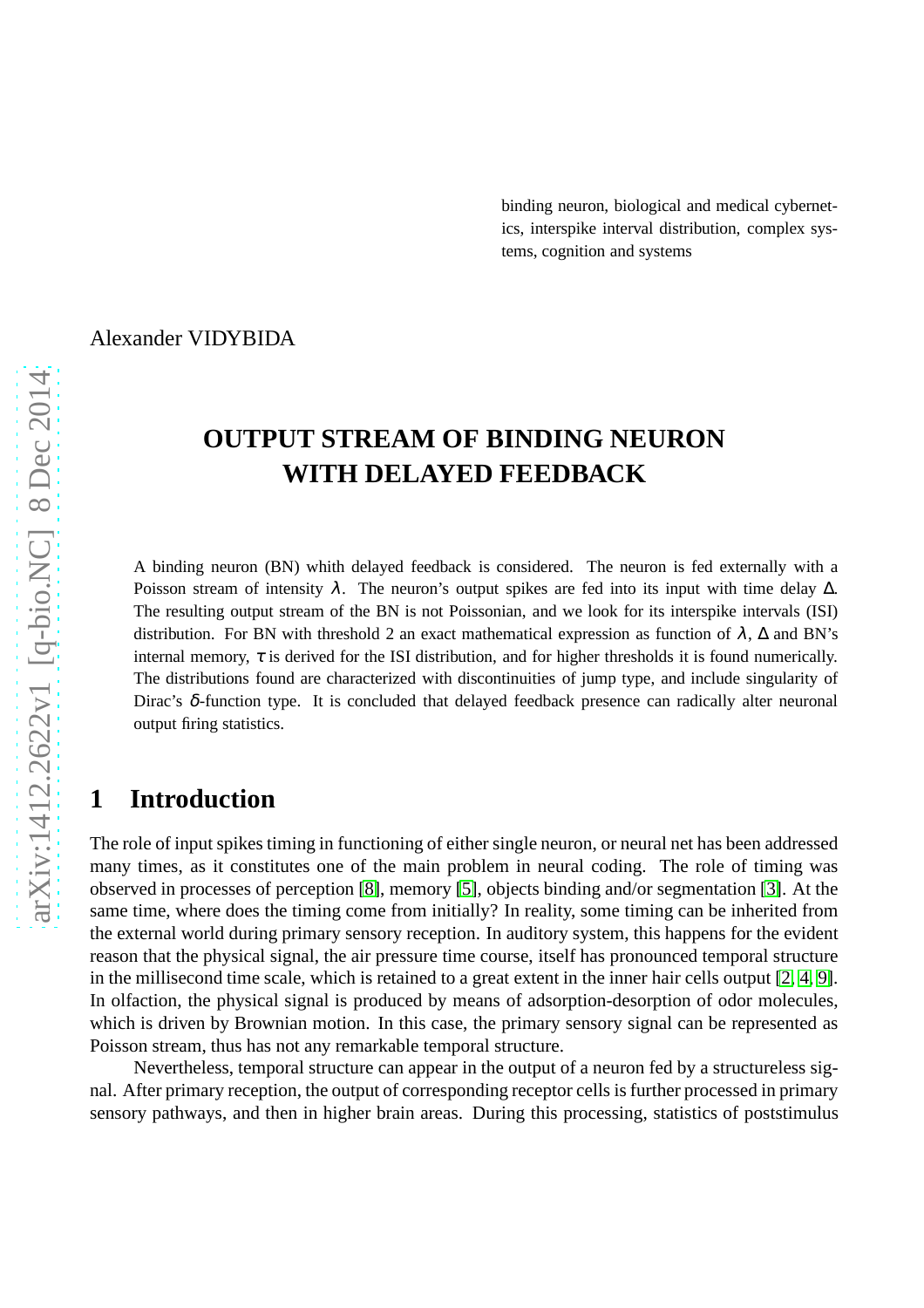binding neuron, biological and medical cybernetics, interspike interval distribution, complex systems, cognition and systems

Alexander VIDYBIDA

# **OUTPUT STREAM OF BINDING NEURON WITH DELAYED FEEDBACK**

A binding neuron (BN) whith delayed feedback is considered. The neuron is fed externally with a Poisson stream of intensity  $\lambda$ . The neuron's output spikes are fed into its input with time delay  $\Delta$ . The resulting output stream of the BN is not Poissonian, and we look for its interspike intervals (ISI) distribution. For BN with threshold 2 an exact mathematical expression as function of  $\lambda$ ,  $\Delta$  and BN's internal memory,  $\tau$  is derived for the ISI distribution, and for higher thresholds it is found numerically. The distributions found are characterized with discontinuities of jump type, and include singularity of Dirac's δ-function type. It is concluded that delayed feedback presence can radically alter neuronal output firing statistics.

### **1 Introduction**

The role of input spikes timing in functioning of either single neuron, or neural net has been addressed many times, as it constitutes one of the main problem in neural coding. The role of timing was observed in processes of perception [\[8\]](#page-9-0), memory [\[5\]](#page-9-1), objects binding and/or segmentation [\[3\]](#page-9-2). At the same time, where does the timing come from initially? In reality, some timing can be inherited from the external world during primary sensory reception. In auditory system, this happens for the evident reason that the physical signal, the air pressure time course, itself has pronounced temporal structure in the millisecond time scale, which is retained to a great extent in the inner hair cells output [\[2,](#page-9-3) [4,](#page-9-4) [9\]](#page-9-5). In olfaction, the physical signal is produced by means of adsorption-desorption of odor molecules, which is driven by Brownian motion. In this case, the primary sensory signal can be represented as Poisson stream, thus has not any remarkable temporal structure.

Nevertheless, temporal structure can appear in the output of a neuron fed by a structureless signal. After primary reception, the output of corresponding receptor cells is further processed in primary sensory pathways, and then in higher brain areas. During this processing, statistics of poststimulus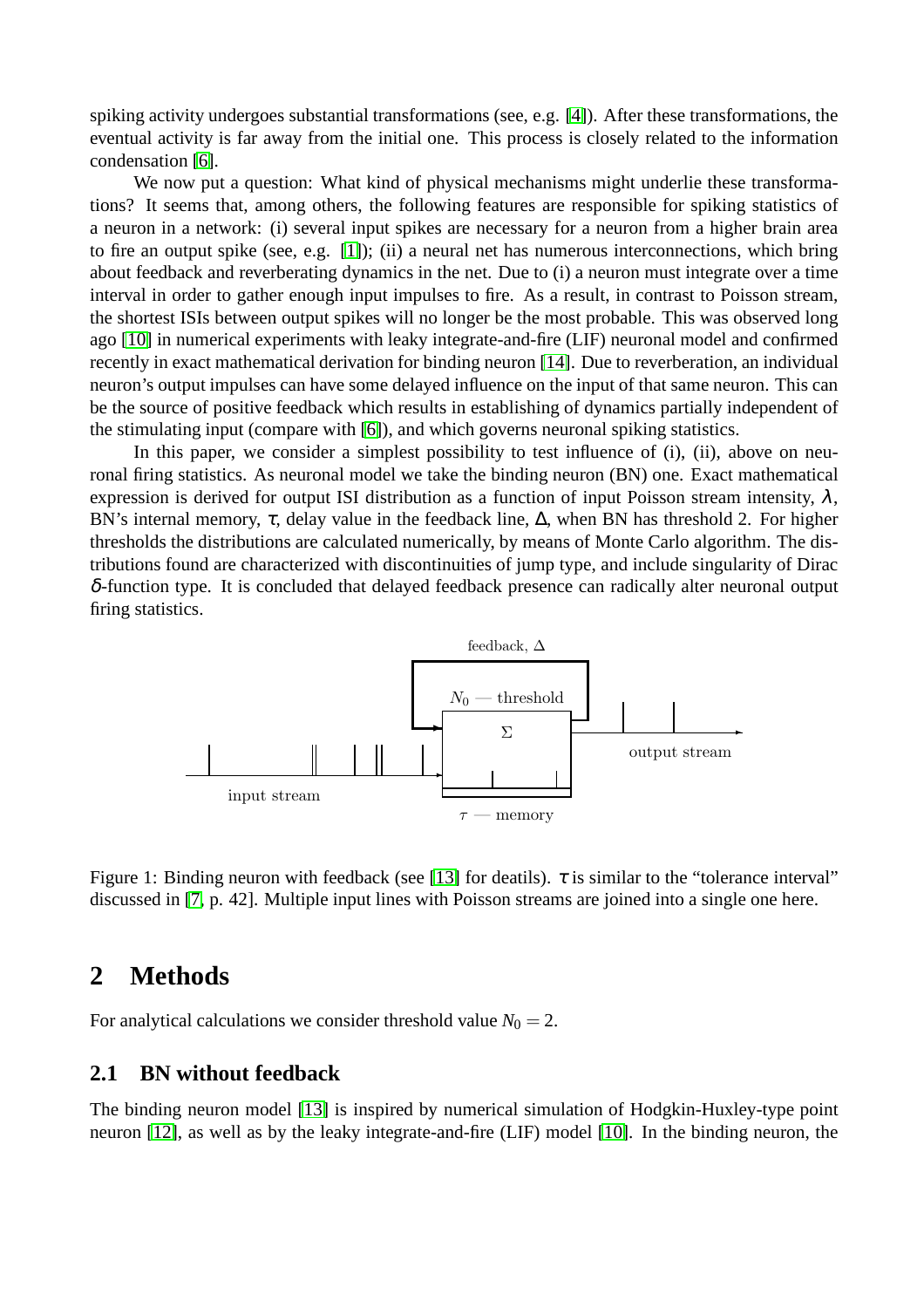spiking activity undergoes substantial transformations (see, e.g. [\[4\]](#page-9-4)). After these transformations, the eventual activity is far away from the initial one. This process is closely related to the information condensation [\[6\]](#page-9-6).

We now put a question: What kind of physical mechanisms might underlie these transformations? It seems that, among others, the following features are responsible for spiking statistics of a neuron in a network: (i) several input spikes are necessary for a neuron from a higher brain area to fire an output spike (see, e.g. [\[1\]](#page-9-7)); (ii) a neural net has numerous interconnections, which bring about feedback and reverberating dynamics in the net. Due to (i) a neuron must integrate over a time interval in order to gather enough input impulses to fire. As a result, in contrast to Poisson stream, the shortest ISIs between output spikes will no longer be the most probable. This was observed long ago [\[10\]](#page-9-8) in numerical experiments with leaky integrate-and-fire (LIF) neuronal model and confirmed recently in exact mathematical derivation for binding neuron [\[14\]](#page-9-9). Due to reverberation, an individual neuron's output impulses can have some delayed influence on the input of that same neuron. This can be the source of positive feedback which results in establishing of dynamics partially independent of the stimulating input (compare with [\[6\]](#page-9-6)), and which governs neuronal spiking statistics.

In this paper, we consider a simplest possibility to test influence of (i), (ii), above on neuronal firing statistics. As neuronal model we take the binding neuron (BN) one. Exact mathematical expression is derived for output ISI distribution as a function of input Poisson stream intensity,  $\lambda$ , BN's internal memory,  $\tau$ , delay value in the feedback line,  $\Delta$ , when BN has threshold 2. For higher thresholds the distributions are calculated numerically, by means of Monte Carlo algorithm. The distributions found are characterized with discontinuities of jump type, and include singularity of Dirac δ-function type. It is concluded that delayed feedback presence can radically alter neuronal output firing statistics.



<span id="page-1-0"></span>Figure 1: Binding neuron with feedback (see [\[13\]](#page-9-10) for deatils).  $\tau$  is similar to the "tolerance interval" discussed in [\[7,](#page-9-11) p. 42]. Multiple input lines with Poisson streams are joined into a single one here.

### **2 Methods**

For analytical calculations we consider threshold value  $N_0 = 2$ .

### **2.1 BN without feedback**

The binding neuron model [\[13\]](#page-9-10) is inspired by numerical simulation of Hodgkin-Huxley-type point neuron [\[12\]](#page-9-12), as well as by the leaky integrate-and-fire (LIF) model [\[10\]](#page-9-8). In the binding neuron, the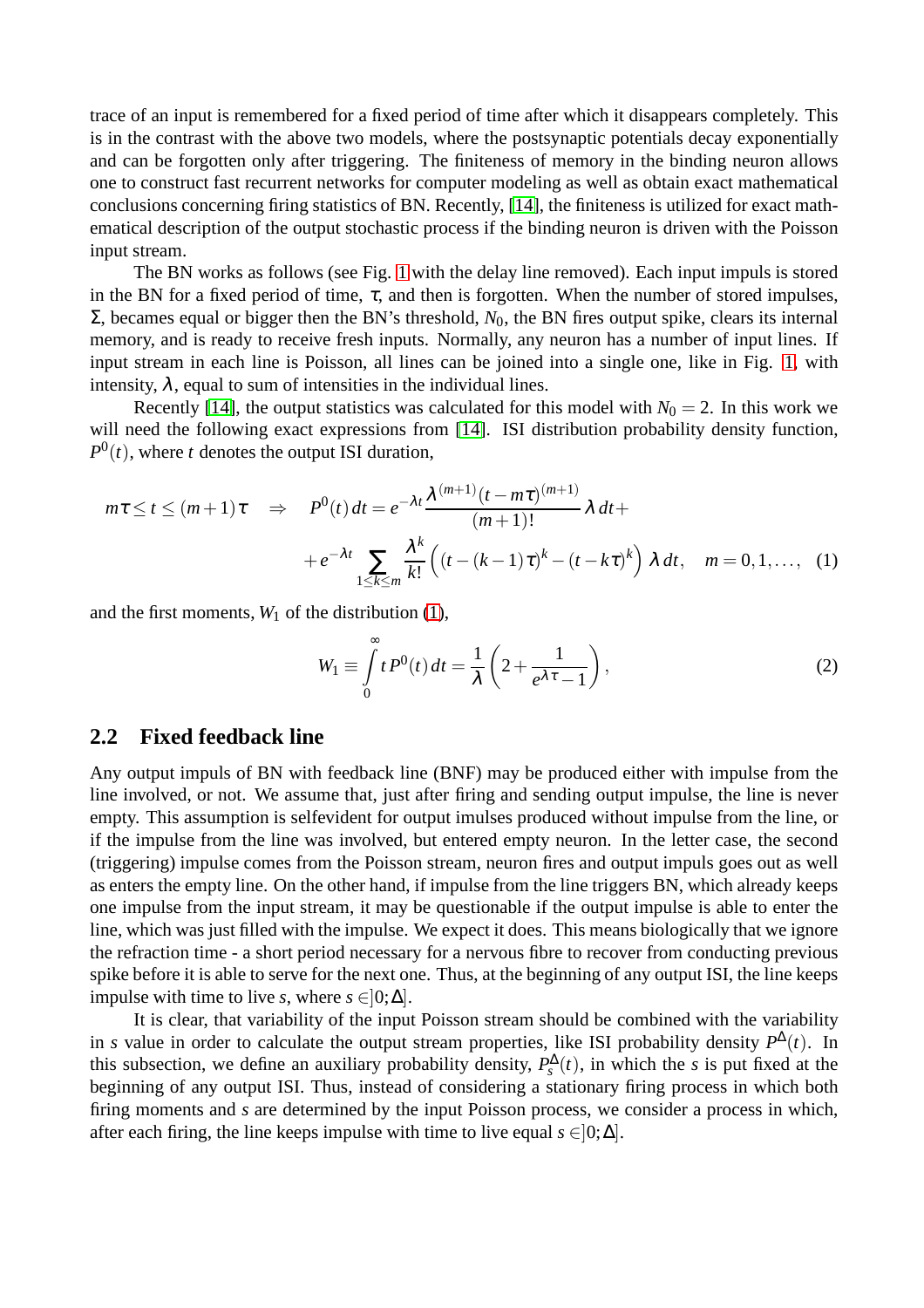trace of an input is remembered for a fixed period of time after which it disappears completely. This is in the contrast with the above two models, where the postsynaptic potentials decay exponentially and can be forgotten only after triggering. The finiteness of memory in the binding neuron allows one to construct fast recurrent networks for computer modeling as well as obtain exact mathematical conclusions concerning firing statistics of BN. Recently, [\[14\]](#page-9-9), the finiteness is utilized for exact mathematical description of the output stochastic process if the binding neuron is driven with the Poisson input stream.

The BN works as follows (see Fig. [1](#page-1-0) with the delay line removed). Each input impuls is stored in the BN for a fixed period of time,  $\tau$ , and then is forgotten. When the number of stored impulses,  $Σ$ , becames equal or bigger then the BN's threshold,  $N_0$ , the BN fires output spike, clears its internal memory, and is ready to receive fresh inputs. Normally, any neuron has a number of input lines. If input stream in each line is Poisson, all lines can be joined into a single one, like in Fig. [1,](#page-1-0) with intensity,  $\lambda$ , equal to sum of intensities in the individual lines.

Recently [\[14\]](#page-9-9), the output statistics was calculated for this model with  $N_0 = 2$ . In this work we will need the following exact expressions from [\[14\]](#page-9-9). ISI distribution probability density function,  $P^0(t)$ , where *t* denotes the output ISI duration,

$$
m\tau \le t \le (m+1)\tau \quad \Rightarrow \quad P^0(t) dt = e^{-\lambda t} \frac{\lambda^{(m+1)}(t - m\tau)^{(m+1)}}{(m+1)!} \lambda dt +
$$

$$
+ e^{-\lambda t} \sum_{1 \le k \le m} \frac{\lambda^k}{k!} \left( (t - (k-1)\tau)^k - (t - k\tau)^k \right) \lambda dt, \quad m = 0, 1, ..., \quad (1)
$$

and the first moments,  $W_1$  of the distribution [\(1\)](#page-2-0),

<span id="page-2-1"></span><span id="page-2-0"></span>
$$
W_1 \equiv \int_0^\infty t P^0(t) dt = \frac{1}{\lambda} \left( 2 + \frac{1}{e^{\lambda \tau} - 1} \right),\tag{2}
$$

#### **2.2 Fixed feedback line**

Any output impuls of BN with feedback line (BNF) may be produced either with impulse from the line involved, or not. We assume that, just after firing and sending output impulse, the line is never empty. This assumption is selfevident for output imulses produced without impulse from the line, or if the impulse from the line was involved, but entered empty neuron. In the letter case, the second (triggering) impulse comes from the Poisson stream, neuron fires and output impuls goes out as well as enters the empty line. On the other hand, if impulse from the line triggers BN, which already keeps one impulse from the input stream, it may be questionable if the output impulse is able to enter the line, which was just filled with the impulse. We expect it does. This means biologically that we ignore the refraction time - a short period necessary for a nervous fibre to recover from conducting previous spike before it is able to serve for the next one. Thus, at the beginning of any output ISI, the line keeps impulse with time to live *s*, where  $s \in ]0; \Delta]$ .

It is clear, that variability of the input Poisson stream should be combined with the variability in *s* value in order to calculate the output stream properties, like ISI probability density  $P^{\Delta}(t)$ . In this subsection, we define an auxiliary probability density,  $P_s^{\Delta}(t)$ , in which the *s* is put fixed at the beginning of any output ISI. Thus, instead of considering a stationary firing process in which both firing moments and *s* are determined by the input Poisson process, we consider a process in which, after each firing, the line keeps impulse with time to live equal  $s \in ]0; \Delta]$ .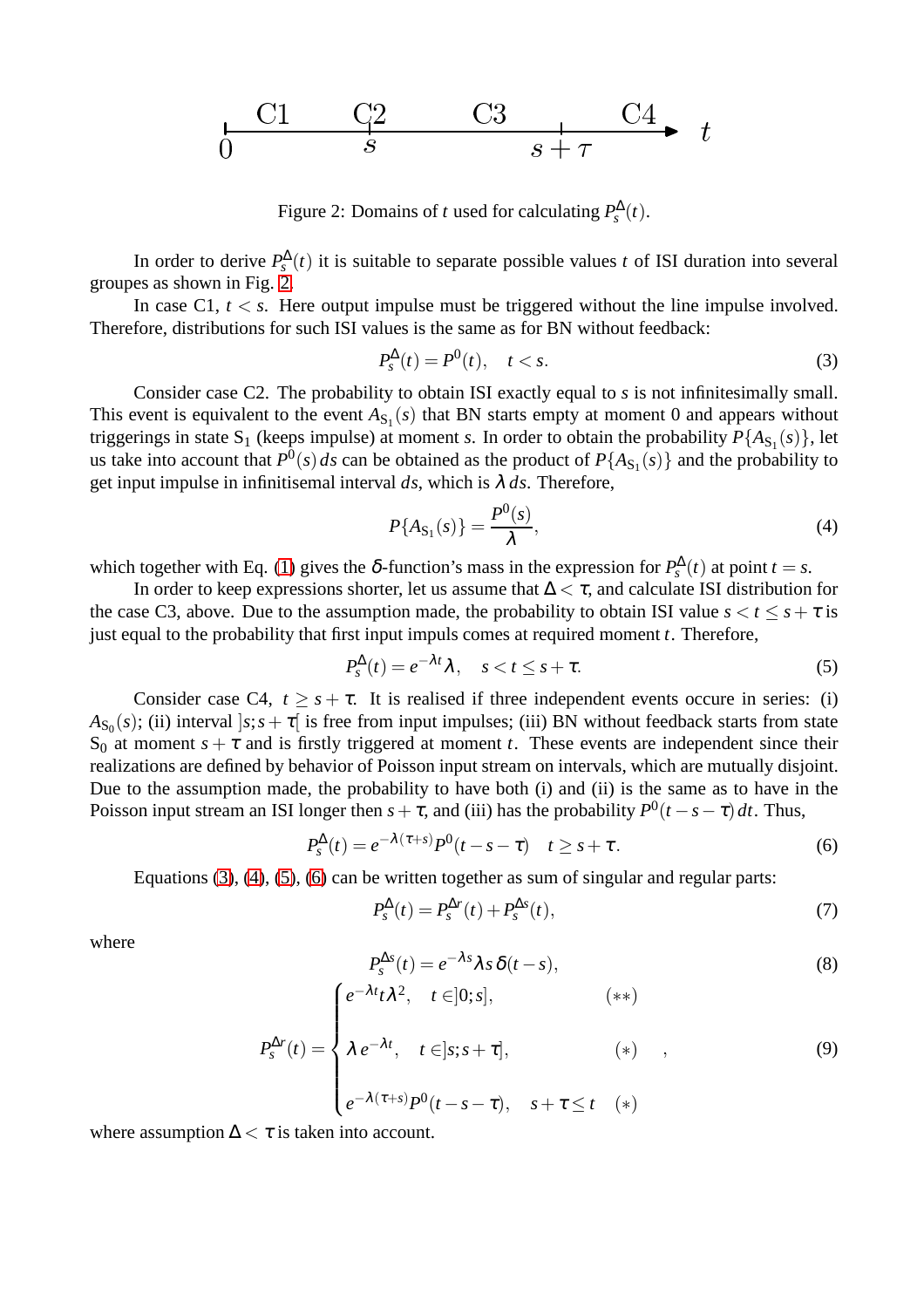$$
\begin{array}{ccccc}\nC1 & C2 & C3 & C4 & t \\
\hline\n0 & & s & & t\n\end{array}
$$

<span id="page-3-0"></span>Figure 2: Domains of *t* used for calculating  $P_s^{\Delta}(t)$ .

In order to derive  $P_s^{\Delta}(t)$  it is suitable to separate possible values *t* of ISI duration into several groupes as shown in Fig. [2.](#page-3-0)

In case C1,  $t < s$ . Here output impulse must be triggered without the line impulse involved. Therefore, distributions for such ISI values is the same as for BN without feedback:

<span id="page-3-1"></span>
$$
P_s^{\Delta}(t) = P^0(t), \quad t < s. \tag{3}
$$

Consider case C2. The probability to obtain ISI exactly equal to *s* is not infinitesimally small. This event is equivalent to the event  $A_{S_1}(s)$  that BN starts empty at moment 0 and appears without triggerings in state  $S_1$  (keeps impulse) at moment *s*. In order to obtain the probability  $P\{A_{S_1}(s)\}$ , let us take into account that  $P^0(s) ds$  can be obtained as the product of  $P\{A_{S_1}(s)\}\$  and the probability to get input impulse in infinitisemal interval  $ds$ , which is  $\lambda ds$ . Therefore,

<span id="page-3-2"></span>
$$
P\{A_{\mathcal{S}_1}(s)\} = \frac{P^0(s)}{\lambda},\tag{4}
$$

which together with Eq. [\(1\)](#page-2-0) gives the  $\delta$ -function's mass in the expression for  $P_s^{\Delta}(t)$  at point  $t = s$ .

In order to keep expressions shorter, let us assume that  $\Delta < \tau$ , and calculate ISI distribution for the case C3, above. Due to the assumption made, the probability to obtain ISI value  $s < t \leq s + \tau$  is just equal to the probability that first input impuls comes at required moment *t*. Therefore,

<span id="page-3-3"></span>
$$
P_s^{\Delta}(t) = e^{-\lambda t} \lambda, \quad s < t \le s + \tau. \tag{5}
$$

Consider case C4,  $t \geq s + \tau$ . It is realised if three independent events occure in series: (i)  $A_{S_0}(s)$ ; (ii) interval  $]s; s+\tau[$  is free from input impulses; (iii) BN without feedback starts from state S<sub>0</sub> at moment  $s + \tau$  and is firstly triggered at moment *t*. These events are independent since their realizations are defined by behavior of Poisson input stream on intervals, which are mutually disjoint. Due to the assumption made, the probability to have both (i) and (ii) is the same as to have in the Poisson input stream an ISI longer then  $s + \tau$ , and (iii) has the probability  $P^0(t - s - \tau) dt$ . Thus,

<span id="page-3-4"></span>
$$
P_s^{\Delta}(t) = e^{-\lambda(\tau+s)} P^0(t-s-\tau) \quad t \geq s+\tau. \tag{6}
$$

Equations [\(3\)](#page-3-1), [\(4\)](#page-3-2), [\(5\)](#page-3-3), [\(6\)](#page-3-4) can be written together as sum of singular and regular parts:

<span id="page-3-7"></span>
$$
P_s^{\Delta}(t) = P_s^{\Delta r}(t) + P_s^{\Delta s}(t),\tag{7}
$$

where

<span id="page-3-6"></span>
$$
P_s^{\Delta s}(t) = e^{-\lambda s} \lambda s \, \delta(t - s),
$$
  
\n
$$
e^{-\lambda t} t \lambda^2, \quad t \in ]0; s], \quad (\ast \ast)
$$

<span id="page-3-5"></span>
$$
P_s^{\Delta r}(t) = \begin{cases} e^{-\lambda t}, & t \in ]s; s + \tau], & (*) \\ \lambda e^{-\lambda t}, & t \in ]s; s + \tau], & (*) \\ e^{-\lambda(\tau+s)} P^0(t - s - \tau), & s + \tau \le t \end{cases}
$$
 (9)

where assumption  $\Delta < \tau$  is taken into account.

 $\sqrt{ }$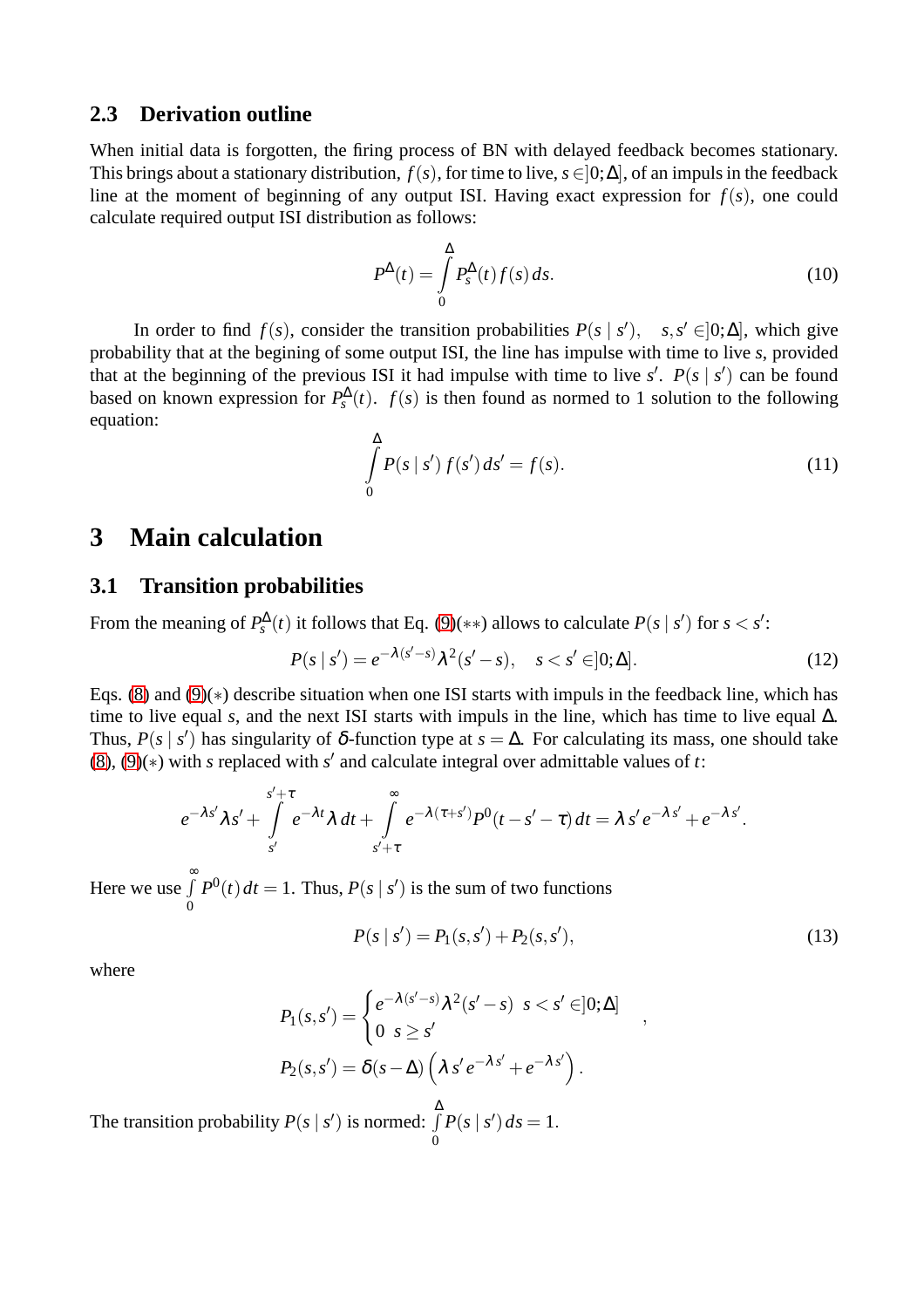#### **2.3 Derivation outline**

When initial data is forgotten, the firing process of BN with delayed feedback becomes stationary. This brings about a stationary distribution,  $f(s)$ , for time to live,  $s \in ]0;\Delta]$ , of an impuls in the feedback line at the moment of beginning of any output ISI. Having exact expression for  $f(s)$ , one could calculate required output ISI distribution as follows:

<span id="page-4-2"></span>
$$
P^{\Delta}(t) = \int_{0}^{\Delta} P_s^{\Delta}(t) f(s) ds.
$$
 (10)

In order to find  $f(s)$ , consider the transition probabilities  $P(s \mid s')$ ,  $s, s' \in ]0; \Delta]$ , which give probability that at the begining of some output ISI, the line has impulse with time to live *s*, provided that at the beginning of the previous ISI it had impulse with time to live  $s'$ .  $P(s | s')$  can be found based on known expression for  $P_s^{\Delta}(t)$ .  $f(s)$  is then found as normed to 1 solution to the following equation:

<span id="page-4-1"></span>
$$
\int_{0}^{\Delta} P(s \mid s') f(s') ds' = f(s).
$$
\n(11)

### **3 Main calculation**

#### **3.1 Transition probabilities**

From the meaning of  $P_s^{\Delta}(t)$  it follows that Eq. [\(9\)](#page-3-5)(\*\*) allows to calculate  $P(s \mid s')$  for  $s < s'$ :

$$
P(s | s') = e^{-\lambda(s'-s)} \lambda^2(s'-s), \quad s < s' \in ]0; \Delta].
$$
 (12)

Eqs. [\(8\)](#page-3-6) and [\(9\)](#page-3-5)(∗) describe situation when one ISI starts with impuls in the feedback line, which has time to live equal *s*, and the next ISI starts with impuls in the line, which has time to live equal  $\Delta$ . Thus,  $P(s \mid s')$  has singularity of  $\delta$ -function type at  $s = \Delta$ . For calculating its mass, one should take [\(8\)](#page-3-6), [\(9\)](#page-3-5)(∗) with *s* replaced with *s* ′ and calculate integral over admittable values of *t*:

$$
e^{-\lambda s'}\lambda s' + \int\limits_{s'}^{s'+\tau} e^{-\lambda t} \lambda dt + \int\limits_{s'+\tau}^{\infty} e^{-\lambda(\tau+s')} P^{0}(t-s'-\tau) dt = \lambda s' e^{-\lambda s'} + e^{-\lambda s'}.
$$

Here we use  $\int_0^\infty$ 0  $P^{0}(t) dt = 1$ . Thus,  $P(s | s')$  is the sum of two functions

<span id="page-4-0"></span>
$$
P(s \mid s') = P_1(s, s') + P_2(s, s'),\tag{13}
$$

,

where

$$
P_1(s,s') = \begin{cases} e^{-\lambda(s'-s)} \lambda^2(s'-s) & s < s' \in ]0;\Delta] \\ 0 & s \ge s' \end{cases}
$$
\n
$$
P_2(s,s') = \delta(s-\Delta) \left( \lambda s' e^{-\lambda s'} + e^{-\lambda s'} \right).
$$

The transition probability  $P(s | s')$  is normed:  $\int$ ∆ 0  $P(s | s') ds = 1.$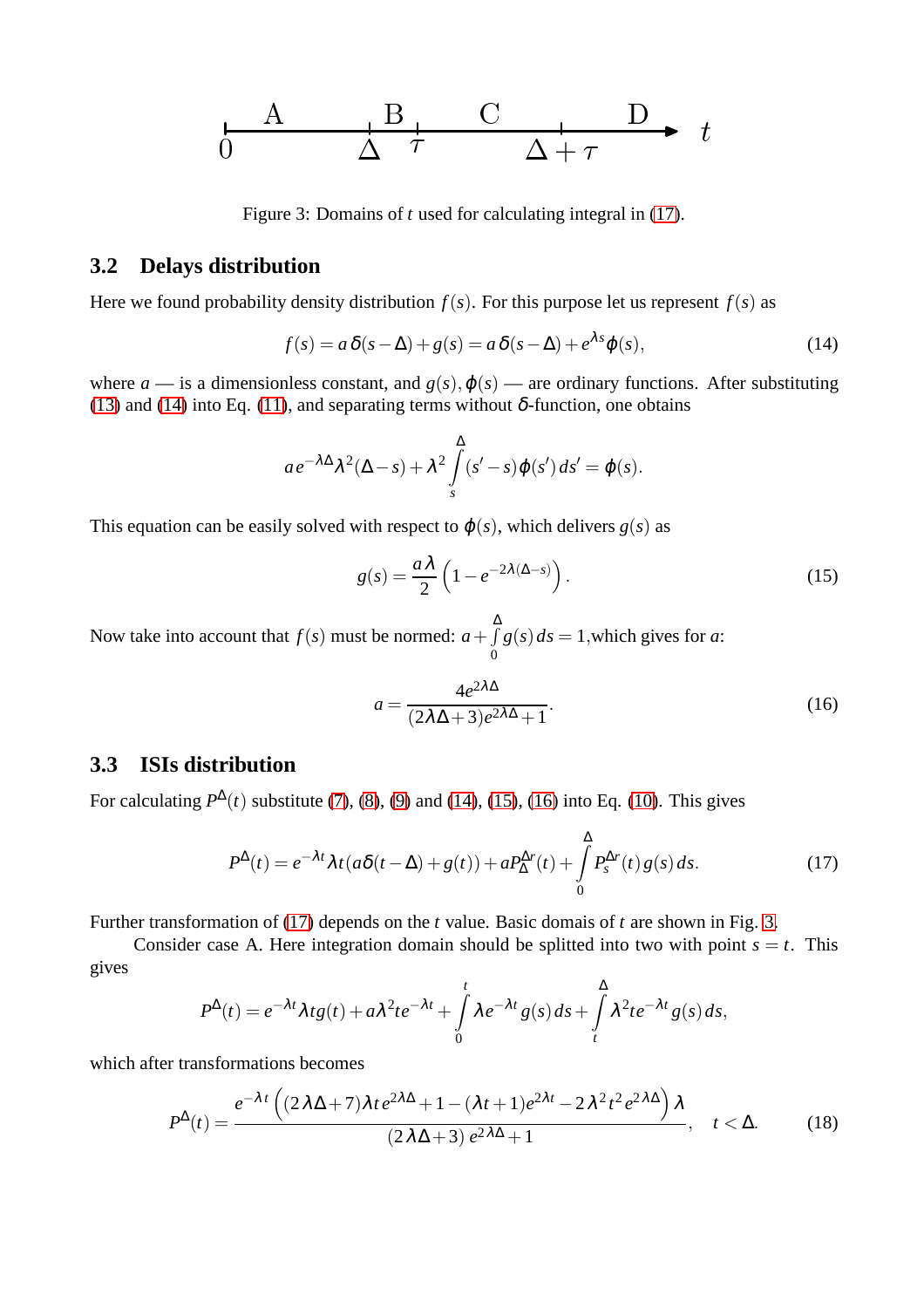$$
\begin{array}{ccc}\n & A & B & C & D \\
\hline\n0 & \Delta & \tau & \Delta + \tau & \end{array}
$$

<span id="page-5-4"></span>Figure 3: Domains of *t* used for calculating integral in [\(17\)](#page-5-0).

#### **3.2 Delays distribution**

Here we found probability density distribution  $f(s)$ . For this purpose let us represent  $f(s)$  as

<span id="page-5-1"></span>
$$
f(s) = a\,\delta(s-\Delta) + g(s) = a\,\delta(s-\Delta) + e^{\lambda s}\varphi(s),\tag{14}
$$

where  $a$  — is a dimensionless constant, and  $g(s), \phi(s)$  — are ordinary functions. After substituting [\(13\)](#page-4-0) and [\(14\)](#page-5-1) into Eq. [\(11\)](#page-4-1), and separating terms without  $\delta$ -function, one obtains

$$
ae^{-\lambda\Delta}\lambda^{2}(\Delta-s)+\lambda^{2}\int_{s}^{\Delta}(s'-s)\varphi(s')ds'=\varphi(s).
$$

This equation can be easily solved with respect to  $\varphi(s)$ , which delivers  $g(s)$  as

<span id="page-5-2"></span>
$$
g(s) = \frac{a\lambda}{2} \left( 1 - e^{-2\lambda(\Delta - s)} \right). \tag{15}
$$

Now take into account that  $f(s)$  must be normed:  $a + f$ ∆ 0  $g(s) ds = 1$ , which gives for *a*:

<span id="page-5-3"></span>
$$
a = \frac{4e^{2\lambda\Delta}}{(2\lambda\Delta + 3)e^{2\lambda\Delta} + 1}.
$$
\n(16)

#### **3.3 ISIs distribution**

For calculating  $P^{\Delta}(t)$  substitute [\(7\)](#page-3-7), [\(8\)](#page-3-6), [\(9\)](#page-3-5) and [\(14\)](#page-5-1), [\(15\)](#page-5-2), [\(16\)](#page-5-3) into Eq. [\(10\)](#page-4-2). This gives

<span id="page-5-0"></span>
$$
P^{\Delta}(t) = e^{-\lambda t} \lambda t (a\delta(t-\Delta) + g(t)) + aP^{\Delta r}_{\Delta}(t) + \int_{0}^{\Delta} P^{\Delta r}_{s}(t) g(s) ds.
$$
 (17)

Further transformation of [\(17\)](#page-5-0) depends on the *t* value. Basic domais of *t* are shown in Fig. [3.](#page-5-4)

Consider case A. Here integration domain should be splitted into two with point  $s = t$ . This gives

$$
P^{\Delta}(t) = e^{-\lambda t} \lambda t g(t) + a \lambda^{2} t e^{-\lambda t} + \int_{0}^{t} \lambda e^{-\lambda t} g(s) ds + \int_{t}^{\Delta} \lambda^{2} t e^{-\lambda t} g(s) ds,
$$

which after transformations becomes

<span id="page-5-5"></span>
$$
P^{\Delta}(t) = \frac{e^{-\lambda t} \left( (2\lambda \Delta + 7)\lambda t e^{2\lambda \Delta} + 1 - (\lambda t + 1)e^{2\lambda t} - 2\lambda^2 t^2 e^{2\lambda \Delta} \right) \lambda}{(2\lambda \Delta + 3) e^{2\lambda \Delta} + 1}, \quad t < \Delta.
$$
 (18)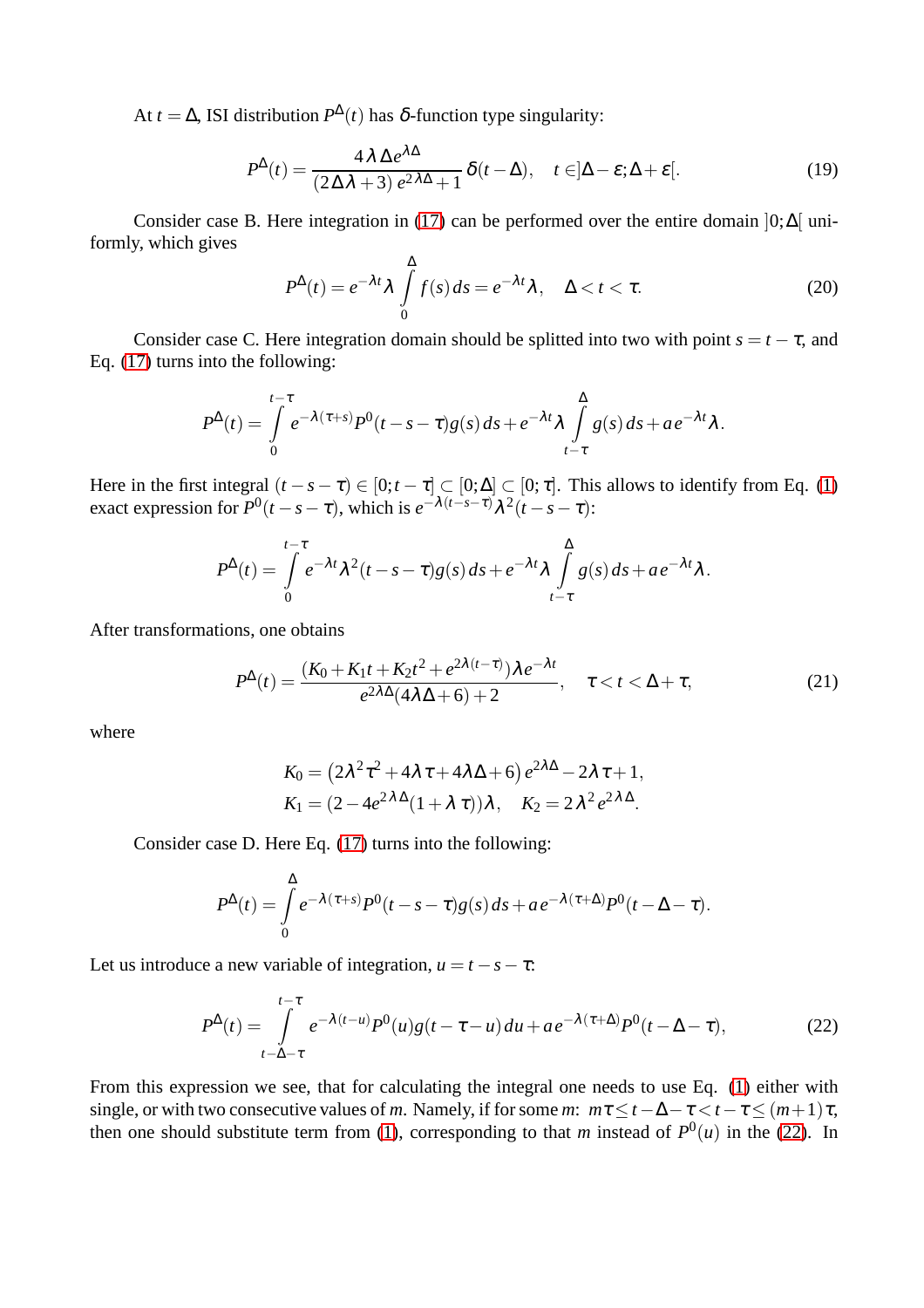At *t* =  $\Delta$ , ISI distribution  $P^{\Delta}(t)$  has  $\delta$ -function type singularity:

<span id="page-6-1"></span>
$$
P^{\Delta}(t) = \frac{4\lambda \Delta e^{\lambda \Delta}}{(2\Delta\lambda + 3) e^{2\lambda \Delta} + 1} \delta(t - \Delta), \quad t \in ]\Delta - \varepsilon; \Delta + \varepsilon[.
$$
 (19)

Consider case B. Here integration in [\(17\)](#page-5-0) can be performed over the entire domain  $]0; \Delta[$  uniformly, which gives

<span id="page-6-2"></span>
$$
P^{\Delta}(t) = e^{-\lambda t} \lambda \int_{0}^{\Delta} f(s) ds = e^{-\lambda t} \lambda, \quad \Delta < t < \tau.
$$
 (20)

Consider case C. Here integration domain should be splitted into two with point  $s = t - \tau$ , and Eq. [\(17\)](#page-5-0) turns into the following:

$$
P^{\Delta}(t) = \int\limits_{0}^{t-\tau} e^{-\lambda(\tau+s)} P^{0}(t-s-\tau)g(s) ds + e^{-\lambda t} \lambda \int\limits_{t-\tau}^{\Delta} g(s) ds + a e^{-\lambda t} \lambda.
$$

Here in the first integral  $(t - s - \tau) \in [0; t - \tau] \subset [0; \Delta] \subset [0; \tau]$ . This allows to identify from Eq. [\(1\)](#page-2-0) exact expression for  $P^0(t - s - \tau)$ , which is  $e^{-\lambda(t - s - \tau)}\lambda^2(t - s - \tau)$ :

$$
P^{\Delta}(t) = \int_{0}^{t-\tau} e^{-\lambda t} \lambda^{2} (t-s-\tau) g(s) ds + e^{-\lambda t} \lambda \int_{t-\tau}^{\Delta} g(s) ds + a e^{-\lambda t} \lambda.
$$

After transformations, one obtains

<span id="page-6-3"></span>
$$
P^{\Delta}(t) = \frac{(K_0 + K_1t + K_2t^2 + e^{2\lambda(t-\tau)})\lambda e^{-\lambda t}}{e^{2\lambda\Delta}(4\lambda\Delta + 6) + 2}, \quad \tau < t < \Delta + \tau,
$$
 (21)

where

$$
K_0 = (2\lambda^2 \tau^2 + 4\lambda \tau + 4\lambda \Delta + 6) e^{2\lambda \Delta} - 2\lambda \tau + 1,
$$
  
\n
$$
K_1 = (2 - 4e^{2\lambda \Delta}(1 + \lambda \tau))\lambda, \quad K_2 = 2\lambda^2 e^{2\lambda \Delta}.
$$

Consider case D. Here Eq. [\(17\)](#page-5-0) turns into the following:

$$
P^{\Delta}(t) = \int_{0}^{\Delta} e^{-\lambda(\tau+s)} P^{0}(t-s-\tau)g(s) ds + a e^{-\lambda(\tau+\Delta)} P^{0}(t-\Delta-\tau).
$$

Let us introduce a new variable of integration,  $u = t - s - \tau$ :

<span id="page-6-0"></span>
$$
P^{\Delta}(t) = \int\limits_{t-\Delta-\tau}^{t-\tau} e^{-\lambda(t-u)} P^0(u) g(t-\tau-u) du + a e^{-\lambda(\tau+\Delta)} P^0(t-\Delta-\tau), \tag{22}
$$

From this expression we see, that for calculating the integral one needs to use Eq. [\(1\)](#page-2-0) either with single, or with two consecutive values of *m*. Namely, if for some *m*:  $m\tau \le t - \Delta - \tau \le t - \tau \le (m+1)\tau$ , then one should substitute term from [\(1\)](#page-2-0), corresponding to that *m* instead of  $P^0(u)$  in the [\(22\)](#page-6-0). In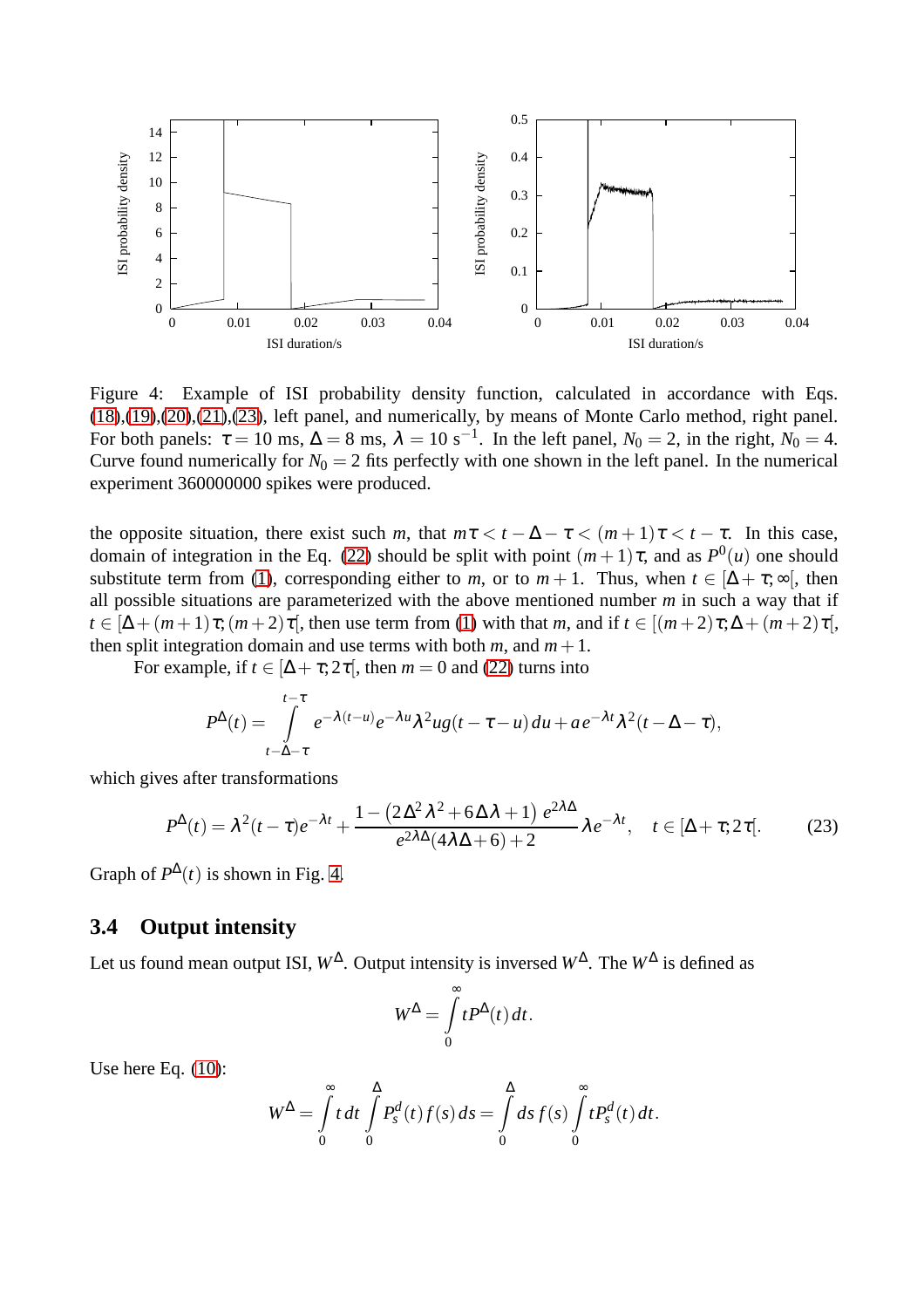

<span id="page-7-1"></span>Figure 4: Example of ISI probability density function, calculated in accordance with Eqs. [\(18\)](#page-5-5),[\(19\)](#page-6-1),[\(20\)](#page-6-2),[\(21\)](#page-6-3),[\(23\)](#page-7-0), left panel, and numerically, by means of Monte Carlo method, right panel. For both panels:  $\tau = 10$  ms,  $\Delta = 8$  ms,  $\lambda = 10$  s<sup>-1</sup>. In the left panel,  $N_0 = 2$ , in the right,  $N_0 = 4$ . Curve found numerically for  $N_0 = 2$  fits perfectly with one shown in the left panel. In the numerical experiment 360000000 spikes were produced.

the opposite situation, there exist such *m*, that  $m\tau < t - \Delta - \tau < (m+1)\tau < t - \tau$ . In this case, domain of integration in the Eq. [\(22\)](#page-6-0) should be split with point  $(m+1)\tau$ , and as  $P^0(u)$  one should substitute term from [\(1\)](#page-2-0), corresponding either to *m*, or to  $m + 1$ . Thus, when  $t \in [\Delta + \tau, \infty]$ , then all possible situations are parameterized with the above mentioned number *m* in such a way that if  $t \in [\Delta + (m+1)\tau; (m+2)\tau]$ , then use term from [\(1\)](#page-2-0) with that *m*, and if  $t \in [(m+2)\tau; \Delta + (m+2)\tau]$ , then split integration domain and use terms with both  $m$ , and  $m+1$ .

For example, if  $t \in [\Delta + \tau; 2\tau]$ , then  $m = 0$  and [\(22\)](#page-6-0) turns into

$$
P^{\Delta}(t) = \int_{t-\Delta-\tau}^{t-\tau} e^{-\lambda(t-u)} e^{-\lambda u} \lambda^2 u g(t-\tau-u) du + a e^{-\lambda t} \lambda^2 (t-\Delta-\tau),
$$

which gives after transformations

<span id="page-7-0"></span>
$$
P^{\Delta}(t) = \lambda^2 (t - \tau) e^{-\lambda t} + \frac{1 - (2\Delta^2 \lambda^2 + 6\Delta \lambda + 1) e^{2\lambda \Delta}}{e^{2\lambda \Delta} (4\lambda \Delta + 6) + 2} \lambda e^{-\lambda t}, \quad t \in [\Delta + \tau; 2\tau].
$$
 (23)

Graph of  $P^{\Delta}(t)$  is shown in Fig. [4.](#page-7-1)

#### **3.4 Output intensity**

Let us found mean output ISI,  $W^{\Delta}$ . Output intensity is inversed  $W^{\Delta}$ . The  $W^{\Delta}$  is defined as

$$
W^{\Delta} = \int_{0}^{\infty} t P^{\Delta}(t) dt.
$$

Use here Eq. [\(10\)](#page-4-2):

$$
W^{\Delta} = \int_{0}^{\infty} t dt \int_{0}^{\Delta} P_s^d(t) f(s) ds = \int_{0}^{\Delta} ds f(s) \int_{0}^{\infty} t P_s^d(t) dt.
$$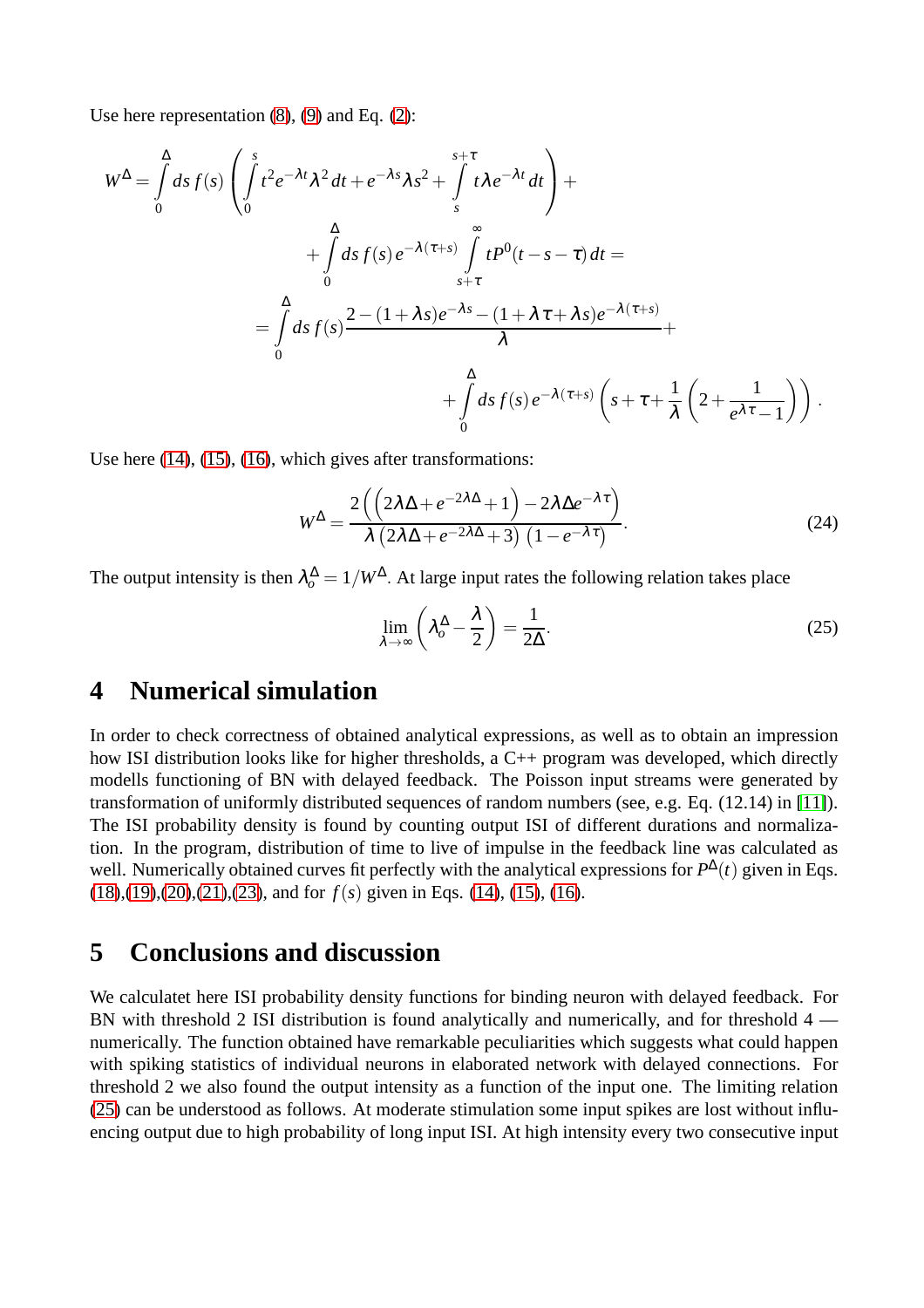Use here representation [\(8\)](#page-3-6), [\(9\)](#page-3-5) and Eq. [\(2\)](#page-2-1):

$$
W^{\Delta} = \int_{0}^{\Delta} ds f(s) \left( \int_{0}^{s} t^{2} e^{-\lambda t} \lambda^{2} dt + e^{-\lambda s} \lambda s^{2} + \int_{s}^{s+\tau} t \lambda e^{-\lambda t} dt \right) +
$$
  
+ 
$$
\int_{0}^{\Delta} ds f(s) e^{-\lambda(\tau+s)} \int_{s+\tau}^{\infty} t P^{0}(t-s-\tau) dt =
$$
  
= 
$$
\int_{0}^{\Delta} ds f(s) \frac{2 - (1+\lambda s)e^{-\lambda s} - (1+\lambda \tau+\lambda s)e^{-\lambda(\tau+s)}}{\lambda} +
$$
  
+ 
$$
\int_{0}^{\Delta} ds f(s) e^{-\lambda(\tau+s)} \left( s + \tau + \frac{1}{\lambda} \left( 2 + \frac{1}{e^{\lambda \tau} - 1} \right) \right).
$$

Use here [\(14\)](#page-5-1), [\(15\)](#page-5-2), [\(16\)](#page-5-3), which gives after transformations:

$$
W^{\Delta} = \frac{2\left(\left(2\lambda\Delta + e^{-2\lambda\Delta} + 1\right) - 2\lambda\Delta e^{-\lambda\tau}\right)}{\lambda\left(2\lambda\Delta + e^{-2\lambda\Delta} + 3\right)\left(1 - e^{-\lambda\tau}\right)}.
$$
\n(24)

The output intensity is then  $\lambda_o^{\Delta} = 1/W^{\Delta}$ . At large input rates the following relation takes place

<span id="page-8-0"></span>
$$
\lim_{\lambda \to \infty} \left( \lambda_o^{\Delta} - \frac{\lambda}{2} \right) = \frac{1}{2\Delta}.
$$
\n(25)

### **4 Numerical simulation**

In order to check correctness of obtained analytical expressions, as well as to obtain an impression how ISI distribution looks like for higher thresholds, a C++ program was developed, which directly modells functioning of BN with delayed feedback. The Poisson input streams were generated by transformation of uniformly distributed sequences of random numbers (see, e.g. Eq. (12.14) in [\[11\]](#page-9-13)). The ISI probability density is found by counting output ISI of different durations and normalization. In the program, distribution of time to live of impulse in the feedback line was calculated as well. Numerically obtained curves fit perfectly with the analytical expressions for  $P^{\Delta}(t)$  given in Eqs. [\(18\)](#page-5-5),[\(19\)](#page-6-1),[\(20\)](#page-6-2),[\(21\)](#page-6-3),[\(23\)](#page-7-0), and for *f*(*s*) given in Eqs. [\(14\)](#page-5-1), [\(15\)](#page-5-2), [\(16\)](#page-5-3).

### **5 Conclusions and discussion**

We calculatet here ISI probability density functions for binding neuron with delayed feedback. For BN with threshold 2 ISI distribution is found analytically and numerically, and for threshold 4 numerically. The function obtained have remarkable peculiarities which suggests what could happen with spiking statistics of individual neurons in elaborated network with delayed connections. For threshold 2 we also found the output intensity as a function of the input one. The limiting relation [\(25\)](#page-8-0) can be understood as follows. At moderate stimulation some input spikes are lost without influencing output due to high probability of long input ISI. At high intensity every two consecutive input